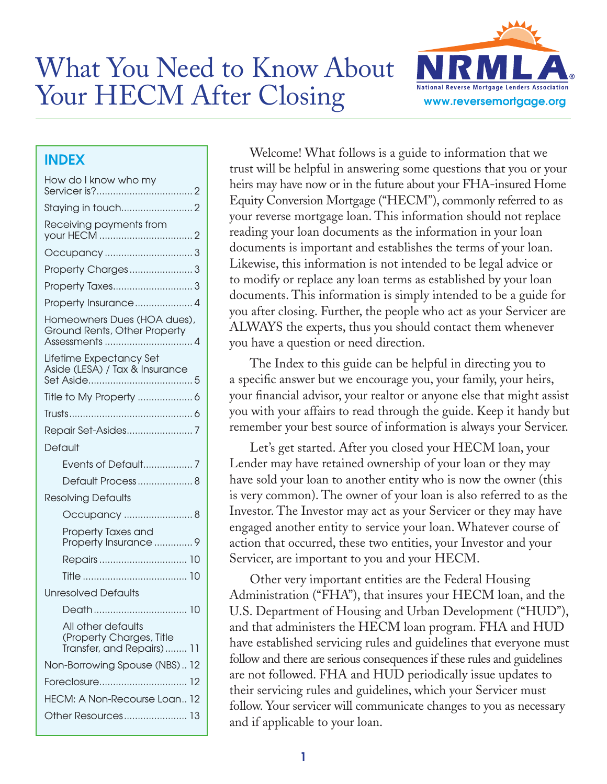# What You Need to Know About Your HECM After Closing



# INDEX

| How do I know who my                                                        |  |
|-----------------------------------------------------------------------------|--|
|                                                                             |  |
| Receiving payments from                                                     |  |
|                                                                             |  |
|                                                                             |  |
|                                                                             |  |
| Property Insurance 4                                                        |  |
| Homeowners Dues (HOA dues),<br>Ground Rents, Other Property                 |  |
| Lifetime Expectancy Set<br>Aside (LESA) / Tax & Insurance                   |  |
|                                                                             |  |
|                                                                             |  |
|                                                                             |  |
| Default                                                                     |  |
| Events of Default 7                                                         |  |
| Default Process  8                                                          |  |
| <b>Resolving Defaults</b>                                                   |  |
| Occupancy  8                                                                |  |
| Property Taxes and<br>Property Insurance  9                                 |  |
|                                                                             |  |
|                                                                             |  |
| Unresolved Defaults                                                         |  |
|                                                                             |  |
| All other defaults<br>(Property Charges, Title<br>Transfer, and Repairs) 11 |  |
| Non-Borrowing Spouse (NBS) 12                                               |  |
|                                                                             |  |
| HECM: A Non-Recourse Loan 12                                                |  |
| Other Resources 13                                                          |  |
|                                                                             |  |

Welcome! What follows is a guide to information that we trust will be helpful in answering some questions that you or your heirs may have now or in the future about your FHA-insured Home Equity Conversion Mortgage ("HECM"), commonly referred to as your reverse mortgage loan. This information should not replace reading your loan documents as the information in your loan documents is important and establishes the terms of your loan. Likewise, this information is not intended to be legal advice or to modify or replace any loan terms as established by your loan documents. This information is simply intended to be a guide for you after closing. Further, the people who act as your Servicer are ALWAYS the experts, thus you should contact them whenever you have a question or need direction.

The Index to this guide can be helpful in directing you to a specific answer but we encourage you, your family, your heirs, your financial advisor, your realtor or anyone else that might assist you with your affairs to read through the guide. Keep it handy but remember your best source of information is always your Servicer.

Let's get started. After you closed your HECM loan, your Lender may have retained ownership of your loan or they may have sold your loan to another entity who is now the owner (this is very common). The owner of your loan is also referred to as the Investor. The Investor may act as your Servicer or they may have engaged another entity to service your loan. Whatever course of action that occurred, these two entities, your Investor and your Servicer, are important to you and your HECM.

Other very important entities are the Federal Housing Administration ("FHA"), that insures your HECM loan, and the U.S. Department of Housing and Urban Development ("HUD"), and that administers the HECM loan program. FHA and HUD have established servicing rules and guidelines that everyone must follow and there are serious consequences if these rules and guidelines are not followed. FHA and HUD periodically issue updates to their servicing rules and guidelines, which your Servicer must follow. Your servicer will communicate changes to you as necessary and if applicable to your loan.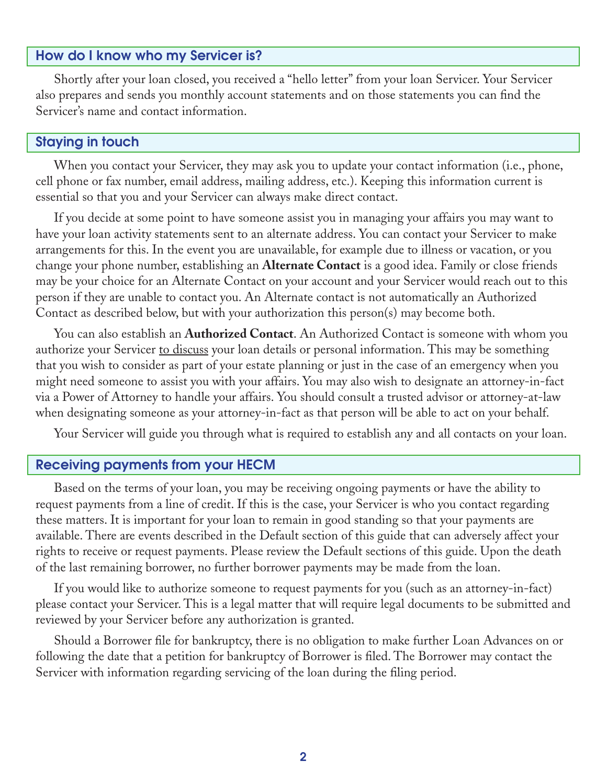# How do I know who my Servicer is?

Shortly after your loan closed, you received a "hello letter" from your loan Servicer. Your Servicer also prepares and sends you monthly account statements and on those statements you can find the Servicer's name and contact information.

#### Staying in touch

When you contact your Servicer, they may ask you to update your contact information (i.e., phone, cell phone or fax number, email address, mailing address, etc.). Keeping this information current is essential so that you and your Servicer can always make direct contact.

If you decide at some point to have someone assist you in managing your affairs you may want to have your loan activity statements sent to an alternate address. You can contact your Servicer to make arrangements for this. In the event you are unavailable, for example due to illness or vacation, or you change your phone number, establishing an **Alternate Contact** is a good idea. Family or close friends may be your choice for an Alternate Contact on your account and your Servicer would reach out to this person if they are unable to contact you. An Alternate contact is not automatically an Authorized Contact as described below, but with your authorization this person(s) may become both.

You can also establish an **Authorized Contact**. An Authorized Contact is someone with whom you authorize your Servicer to discuss your loan details or personal information. This may be something that you wish to consider as part of your estate planning or just in the case of an emergency when you might need someone to assist you with your affairs. You may also wish to designate an attorney-in-fact via a Power of Attorney to handle your affairs. You should consult a trusted advisor or attorney-at-law when designating someone as your attorney-in-fact as that person will be able to act on your behalf.

Your Servicer will guide you through what is required to establish any and all contacts on your loan.

#### Receiving payments from your HECM

Based on the terms of your loan, you may be receiving ongoing payments or have the ability to request payments from a line of credit. If this is the case, your Servicer is who you contact regarding these matters. It is important for your loan to remain in good standing so that your payments are available. There are events described in the Default section of this guide that can adversely affect your rights to receive or request payments. Please review the Default sections of this guide. Upon the death of the last remaining borrower, no further borrower payments may be made from the loan.

If you would like to authorize someone to request payments for you (such as an attorney-in-fact) please contact your Servicer. This is a legal matter that will require legal documents to be submitted and reviewed by your Servicer before any authorization is granted.

Should a Borrower file for bankruptcy, there is no obligation to make further Loan Advances on or following the date that a petition for bankruptcy of Borrower is filed. The Borrower may contact the Servicer with information regarding servicing of the loan during the filing period.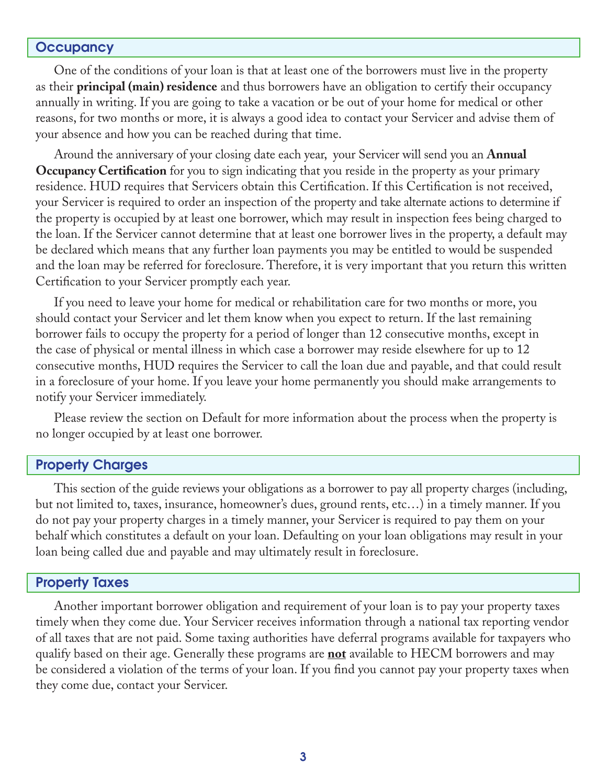#### **Occupancy**

One of the conditions of your loan is that at least one of the borrowers must live in the property as their **principal (main) residence** and thus borrowers have an obligation to certify their occupancy annually in writing. If you are going to take a vacation or be out of your home for medical or other reasons, for two months or more, it is always a good idea to contact your Servicer and advise them of your absence and how you can be reached during that time.

Around the anniversary of your closing date each year, your Servicer will send you an **Annual Occupancy Certification** for you to sign indicating that you reside in the property as your primary residence. HUD requires that Servicers obtain this Certification. If this Certification is not received, your Servicer is required to order an inspection of the property and take alternate actions to determine if the property is occupied by at least one borrower, which may result in inspection fees being charged to the loan. If the Servicer cannot determine that at least one borrower lives in the property, a default may be declared which means that any further loan payments you may be entitled to would be suspended and the loan may be referred for foreclosure. Therefore, it is very important that you return this written Certification to your Servicer promptly each year.

If you need to leave your home for medical or rehabilitation care for two months or more, you should contact your Servicer and let them know when you expect to return. If the last remaining borrower fails to occupy the property for a period of longer than 12 consecutive months, except in the case of physical or mental illness in which case a borrower may reside elsewhere for up to 12 consecutive months, HUD requires the Servicer to call the loan due and payable, and that could result in a foreclosure of your home. If you leave your home permanently you should make arrangements to notify your Servicer immediately.

Please review the section on Default for more information about the process when the property is no longer occupied by at least one borrower.

#### Property Charges

This section of the guide reviews your obligations as a borrower to pay all property charges (including, but not limited to, taxes, insurance, homeowner's dues, ground rents, etc…) in a timely manner. If you do not pay your property charges in a timely manner, your Servicer is required to pay them on your behalf which constitutes a default on your loan. Defaulting on your loan obligations may result in your loan being called due and payable and may ultimately result in foreclosure.

#### Property Taxes

Another important borrower obligation and requirement of your loan is to pay your property taxes timely when they come due. Your Servicer receives information through a national tax reporting vendor of all taxes that are not paid. Some taxing authorities have deferral programs available for taxpayers who qualify based on their age. Generally these programs are **not** available to HECM borrowers and may be considered a violation of the terms of your loan. If you find you cannot pay your property taxes when they come due, contact your Servicer.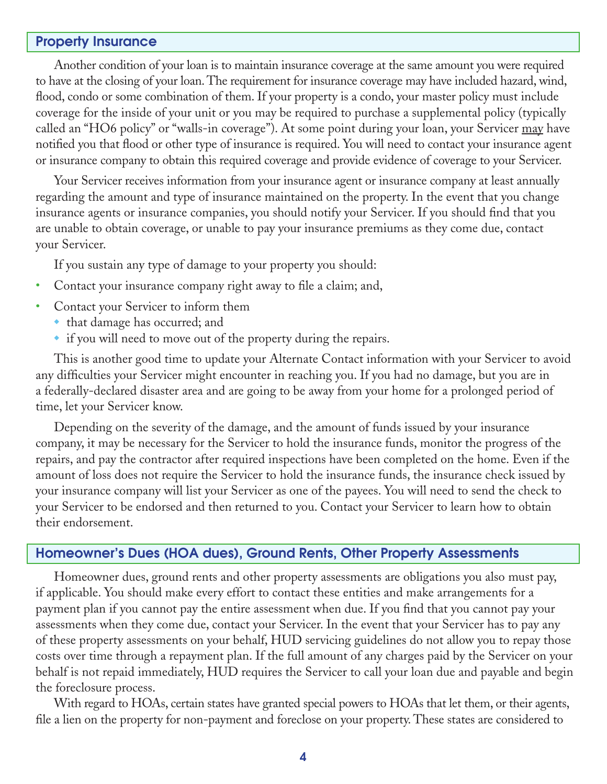#### Property Insurance

Another condition of your loan is to maintain insurance coverage at the same amount you were required to have at the closing of your loan. The requirement for insurance coverage may have included hazard, wind, flood, condo or some combination of them. If your property is a condo, your master policy must include coverage for the inside of your unit or you may be required to purchase a supplemental policy (typically called an "HO6 policy" or "walls-in coverage"). At some point during your loan, your Servicer may have notified you that flood or other type of insurance is required. You will need to contact your insurance agent or insurance company to obtain this required coverage and provide evidence of coverage to your Servicer.

Your Servicer receives information from your insurance agent or insurance company at least annually regarding the amount and type of insurance maintained on the property. In the event that you change insurance agents or insurance companies, you should notify your Servicer. If you should find that you are unable to obtain coverage, or unable to pay your insurance premiums as they come due, contact your Servicer.

If you sustain any type of damage to your property you should:

- Contact your insurance company right away to file a claim; and,
- Contact your Servicer to inform them
	- that damage has occurred; and
	- $\bullet$  if you will need to move out of the property during the repairs.

This is another good time to update your Alternate Contact information with your Servicer to avoid any difficulties your Servicer might encounter in reaching you. If you had no damage, but you are in a federally-declared disaster area and are going to be away from your home for a prolonged period of time, let your Servicer know.

Depending on the severity of the damage, and the amount of funds issued by your insurance company, it may be necessary for the Servicer to hold the insurance funds, monitor the progress of the repairs, and pay the contractor after required inspections have been completed on the home. Even if the amount of loss does not require the Servicer to hold the insurance funds, the insurance check issued by your insurance company will list your Servicer as one of the payees. You will need to send the check to your Servicer to be endorsed and then returned to you. Contact your Servicer to learn how to obtain their endorsement.

### Homeowner's Dues (HOA dues), Ground Rents, Other Property Assessments

Homeowner dues, ground rents and other property assessments are obligations you also must pay, if applicable. You should make every effort to contact these entities and make arrangements for a payment plan if you cannot pay the entire assessment when due. If you find that you cannot pay your assessments when they come due, contact your Servicer. In the event that your Servicer has to pay any of these property assessments on your behalf, HUD servicing guidelines do not allow you to repay those costs over time through a repayment plan. If the full amount of any charges paid by the Servicer on your behalf is not repaid immediately, HUD requires the Servicer to call your loan due and payable and begin the foreclosure process.

With regard to HOAs, certain states have granted special powers to HOAs that let them, or their agents, file a lien on the property for non-payment and foreclose on your property. These states are considered to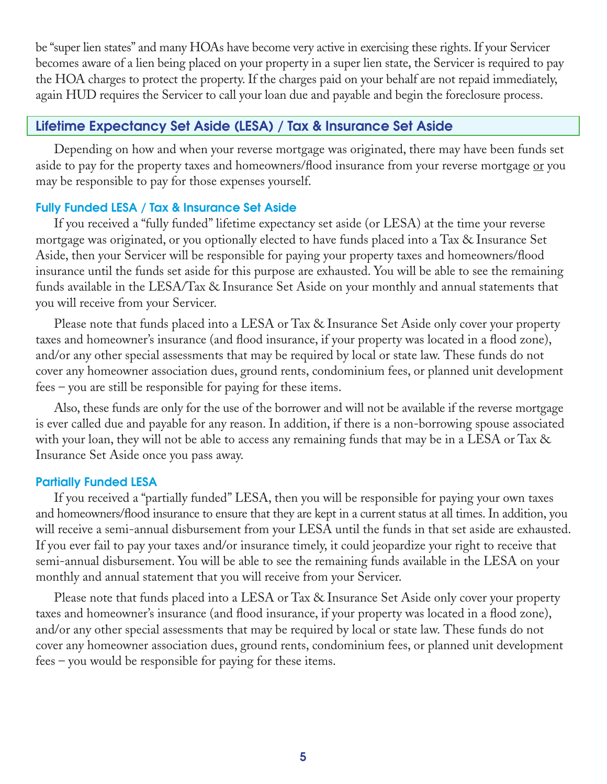be "super lien states" and many HOAs have become very active in exercising these rights. If your Servicer becomes aware of a lien being placed on your property in a super lien state, the Servicer is required to pay the HOA charges to protect the property. If the charges paid on your behalf are not repaid immediately, again HUD requires the Servicer to call your loan due and payable and begin the foreclosure process.

# Lifetime Expectancy Set Aside (LESA) / Tax & Insurance Set Aside

Depending on how and when your reverse mortgage was originated, there may have been funds set aside to pay for the property taxes and homeowners/flood insurance from your reverse mortgage or you may be responsible to pay for those expenses yourself.

# Fully Funded LESA / Tax & Insurance Set Aside

If you received a "fully funded" lifetime expectancy set aside (or LESA) at the time your reverse mortgage was originated, or you optionally elected to have funds placed into a Tax & Insurance Set Aside, then your Servicer will be responsible for paying your property taxes and homeowners/flood insurance until the funds set aside for this purpose are exhausted. You will be able to see the remaining funds available in the LESA/Tax & Insurance Set Aside on your monthly and annual statements that you will receive from your Servicer.

Please note that funds placed into a LESA or Tax & Insurance Set Aside only cover your property taxes and homeowner's insurance (and flood insurance, if your property was located in a flood zone), and/or any other special assessments that may be required by local or state law. These funds do not cover any homeowner association dues, ground rents, condominium fees, or planned unit development fees – you are still be responsible for paying for these items.

Also, these funds are only for the use of the borrower and will not be available if the reverse mortgage is ever called due and payable for any reason. In addition, if there is a non-borrowing spouse associated with your loan, they will not be able to access any remaining funds that may be in a LESA or Tax & Insurance Set Aside once you pass away.

# Partially Funded LESA

If you received a "partially funded" LESA, then you will be responsible for paying your own taxes and homeowners/flood insurance to ensure that they are kept in a current status at all times. In addition, you will receive a semi-annual disbursement from your LESA until the funds in that set aside are exhausted. If you ever fail to pay your taxes and/or insurance timely, it could jeopardize your right to receive that semi-annual disbursement. You will be able to see the remaining funds available in the LESA on your monthly and annual statement that you will receive from your Servicer.

Please note that funds placed into a LESA or Tax & Insurance Set Aside only cover your property taxes and homeowner's insurance (and flood insurance, if your property was located in a flood zone), and/or any other special assessments that may be required by local or state law. These funds do not cover any homeowner association dues, ground rents, condominium fees, or planned unit development fees – you would be responsible for paying for these items.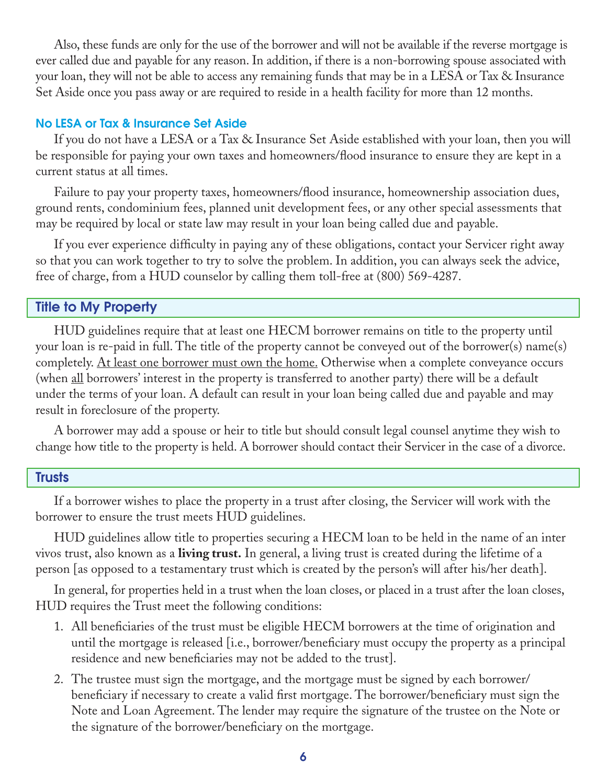Also, these funds are only for the use of the borrower and will not be available if the reverse mortgage is ever called due and payable for any reason. In addition, if there is a non-borrowing spouse associated with your loan, they will not be able to access any remaining funds that may be in a LESA or Tax & Insurance Set Aside once you pass away or are required to reside in a health facility for more than 12 months.

#### No LESA or Tax & Insurance Set Aside

If you do not have a LESA or a Tax & Insurance Set Aside established with your loan, then you will be responsible for paying your own taxes and homeowners/flood insurance to ensure they are kept in a current status at all times.

Failure to pay your property taxes, homeowners/flood insurance, homeownership association dues, ground rents, condominium fees, planned unit development fees, or any other special assessments that may be required by local or state law may result in your loan being called due and payable.

If you ever experience difficulty in paying any of these obligations, contact your Servicer right away so that you can work together to try to solve the problem. In addition, you can always seek the advice, free of charge, from a HUD counselor by calling them toll-free at (800) 569-4287.

## Title to My Property

HUD guidelines require that at least one HECM borrower remains on title to the property until your loan is re-paid in full. The title of the property cannot be conveyed out of the borrower(s) name(s) completely. <u>At least one borrower must own the home.</u> Otherwise when a complete conveyance occurs (when <u>all</u> borrowers' interest in the property is transferred to another party) there will be a default under the terms of your loan. A default can result in your loan being called due and payable and may result in foreclosure of the property.

A borrower may add a spouse or heir to title but should consult legal counsel anytime they wish to change how title to the property is held. A borrower should contact their Servicer in the case of a divorce.

#### **Trusts**

If a borrower wishes to place the property in a trust after closing, the Servicer will work with the borrower to ensure the trust meets HUD guidelines.

HUD guidelines allow title to properties securing a HECM loan to be held in the name of an inter vivos trust, also known as a **living trust.** In general, a living trust is created during the lifetime of a person [as opposed to a testamentary trust which is created by the person's will after his/her death].

In general, for properties held in a trust when the loan closes, or placed in a trust after the loan closes, HUD requires the Trust meet the following conditions:

- 1. All beneficiaries of the trust must be eligible HECM borrowers at the time of origination and until the mortgage is released [i.e., borrower/beneficiary must occupy the property as a principal residence and new beneficiaries may not be added to the trust].
- 2. The trustee must sign the mortgage, and the mortgage must be signed by each borrower/ beneficiary if necessary to create a valid first mortgage. The borrower/beneficiary must sign the Note and Loan Agreement. The lender may require the signature of the trustee on the Note or the signature of the borrower/beneficiary on the mortgage.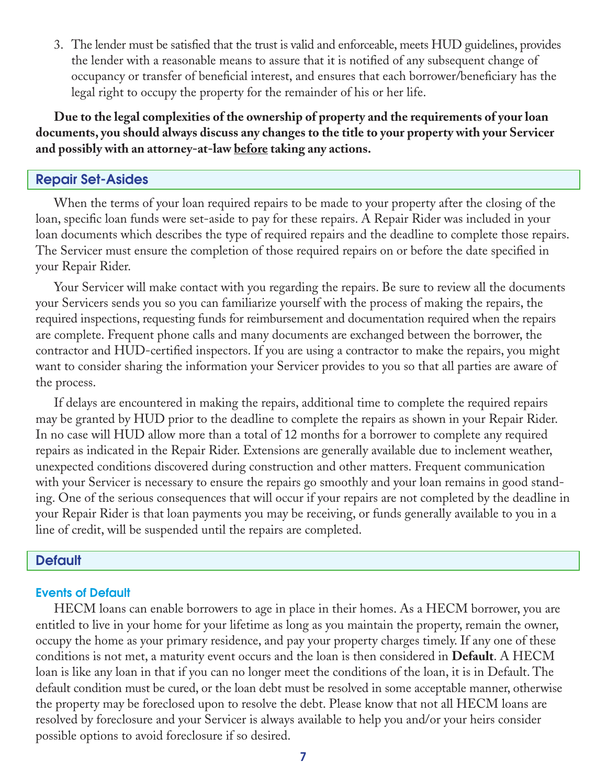3. The lender must be satisfied that the trust is valid and enforceable, meets HUD guidelines, provides the lender with a reasonable means to assure that it is notified of any subsequent change of occupancy or transfer of beneficial interest, and ensures that each borrower/beneficiary has the legal right to occupy the property for the remainder of his or her life.

**Due to the legal complexities of the ownership of property and the requirements of your loan documents, you should always discuss any changes to the title to your property with your Servicer and possibly with an attorney-at-law before taking any actions.** 

## Repair Set-Asides

When the terms of your loan required repairs to be made to your property after the closing of the loan, specific loan funds were set-aside to pay for these repairs. A Repair Rider was included in your loan documents which describes the type of required repairs and the deadline to complete those repairs. The Servicer must ensure the completion of those required repairs on or before the date specified in your Repair Rider.

Your Servicer will make contact with you regarding the repairs. Be sure to review all the documents your Servicers sends you so you can familiarize yourself with the process of making the repairs, the required inspections, requesting funds for reimbursement and documentation required when the repairs are complete. Frequent phone calls and many documents are exchanged between the borrower, the contractor and HUD-certified inspectors. If you are using a contractor to make the repairs, you might want to consider sharing the information your Servicer provides to you so that all parties are aware of the process.

If delays are encountered in making the repairs, additional time to complete the required repairs may be granted by HUD prior to the deadline to complete the repairs as shown in your Repair Rider. In no case will HUD allow more than a total of 12 months for a borrower to complete any required repairs as indicated in the Repair Rider. Extensions are generally available due to inclement weather, unexpected conditions discovered during construction and other matters. Frequent communication with your Servicer is necessary to ensure the repairs go smoothly and your loan remains in good standing. One of the serious consequences that will occur if your repairs are not completed by the deadline in your Repair Rider is that loan payments you may be receiving, or funds generally available to you in a line of credit, will be suspended until the repairs are completed.

#### **Default**

#### Events of Default

HECM loans can enable borrowers to age in place in their homes. As a HECM borrower, you are entitled to live in your home for your lifetime as long as you maintain the property, remain the owner, occupy the home as your primary residence, and pay your property charges timely. If any one of these conditions is not met, a maturity event occurs and the loan is then considered in **Default**. A HECM loan is like any loan in that if you can no longer meet the conditions of the loan, it is in Default. The default condition must be cured, or the loan debt must be resolved in some acceptable manner, otherwise the property may be foreclosed upon to resolve the debt. Please know that not all HECM loans are resolved by foreclosure and your Servicer is always available to help you and/or your heirs consider possible options to avoid foreclosure if so desired.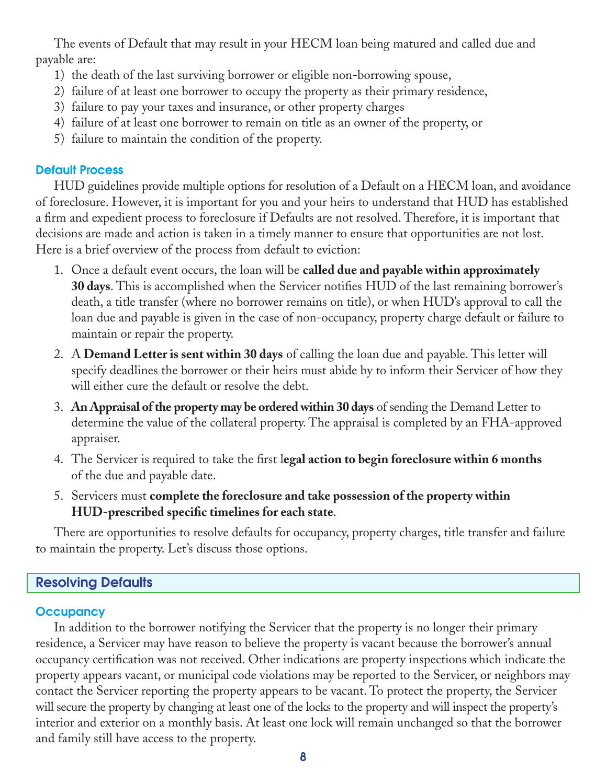The events of Default that may result in your HECM loan being matured and called due and payable are:

- 1) the death of the last surviving borrower or eligible non-borrowing spouse,
- 2) failure of at least one borrower to occupy the property as their primary residence,
- 3) failure to pay your taxes and insurance, or other property charges
- 4) failure of at least one borrower to remain on title as an owner of the property, or
- 5) failure to maintain the condition of the property.

# Default Process

HUD guidelines provide multiple options for resolution of a Default on a HECM loan, and avoidance of foreclosure. However, it is important for you and your heirs to understand that HUD has established a firm and expedient process to foreclosure if Defaults are not resolved. Therefore, it is important that decisions are made and action is taken in a timely manner to ensure that opportunities are not lost. Here is a brief overview of the process from default to eviction:

- 1. Once a default event occurs, the loan will be **called due and payable within approximately 30 days**. This is accomplished when the Servicer notifies HUD of the last remaining borrower's death, a title transfer (where no borrower remains on title), or when HUD's approval to call the loan due and payable is given in the case of non-occupancy, property charge default or failure to maintain or repair the property.
- 2. A **Demand Letter is sent within 30 days** of calling the loan due and payable. This letter will specify deadlines the borrower or their heirs must abide by to inform their Servicer of how they will either cure the default or resolve the debt.
- 3. **An Appraisal of the property may be ordered within 30 days** of sending the Demand Letter to determine the value of the collateral property. The appraisal is completed by an FHA-approved appraiser.
- 4. The Servicer is required to take the first l**egal action to begin foreclosure within 6 months** of the due and payable date.
- 5. Servicers must **complete the foreclosure and take possession of the property within HUD-prescribed specific timelines for each state**.

There are opportunities to resolve defaults for occupancy, property charges, title transfer and failure to maintain the property. Let's discuss those options.

# Resolving Defaults

# **Occupancy**

In addition to the borrower notifying the Servicer that the property is no longer their primary residence, a Servicer may have reason to believe the property is vacant because the borrower's annual occupancy certification was not received. Other indications are property inspections which indicate the property appears vacant, or municipal code violations may be reported to the Servicer, or neighbors may contact the Servicer reporting the property appears to be vacant. To protect the property, the Servicer will secure the property by changing at least one of the locks to the property and will inspect the property's interior and exterior on a monthly basis. At least one lock will remain unchanged so that the borrower and family still have access to the property.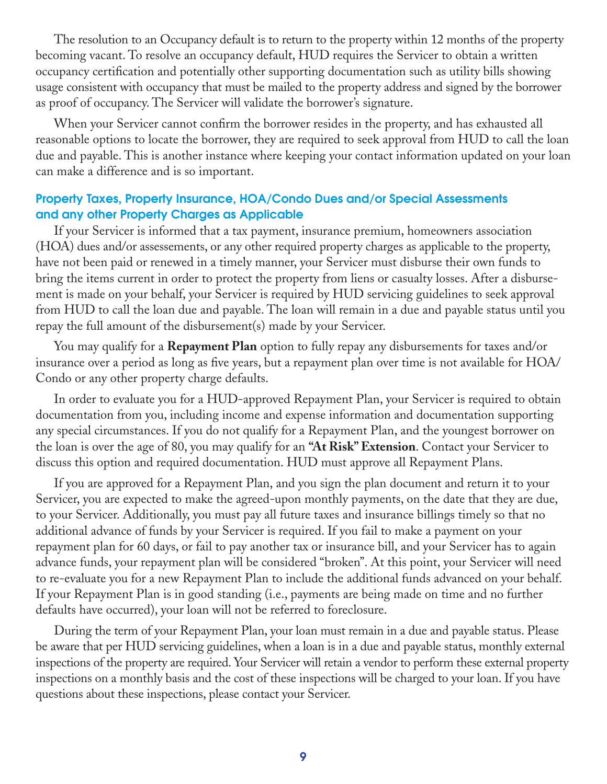The resolution to an Occupancy default is to return to the property within 12 months of the property becoming vacant. To resolve an occupancy default, HUD requires the Servicer to obtain a written occupancy certification and potentially other supporting documentation such as utility bills showing usage consistent with occupancy that must be mailed to the property address and signed by the borrower as proof of occupancy. The Servicer will validate the borrower's signature.

When your Servicer cannot confirm the borrower resides in the property, and has exhausted all reasonable options to locate the borrower, they are required to seek approval from HUD to call the loan due and payable. This is another instance where keeping your contact information updated on your loan can make a difference and is so important.

# Property Taxes, Property Insurance, HOA/Condo Dues and/or Special Assessments and any other Property Charges as Applicable

If your Servicer is informed that a tax payment, insurance premium, homeowners association (HOA) dues and/or assessements, or any other required property charges as applicable to the property, have not been paid or renewed in a timely manner, your Servicer must disburse their own funds to bring the items current in order to protect the property from liens or casualty losses. After a disbursement is made on your behalf, your Servicer is required by HUD servicing guidelines to seek approval from HUD to call the loan due and payable. The loan will remain in a due and payable status until you repay the full amount of the disbursement(s) made by your Servicer.

You may qualify for a **Repayment Plan** option to fully repay any disbursements for taxes and/or insurance over a period as long as five years, but a repayment plan over time is not available for HOA/ Condo or any other property charge defaults.

In order to evaluate you for a HUD-approved Repayment Plan, your Servicer is required to obtain documentation from you, including income and expense information and documentation supporting any special circumstances. If you do not qualify for a Repayment Plan, and the youngest borrower on the loan is over the age of 80, you may qualify for an **"At Risk" Extension**. Contact your Servicer to discuss this option and required documentation. HUD must approve all Repayment Plans.

If you are approved for a Repayment Plan, and you sign the plan document and return it to your Servicer, you are expected to make the agreed-upon monthly payments, on the date that they are due, to your Servicer. Additionally, you must pay all future taxes and insurance billings timely so that no additional advance of funds by your Servicer is required. If you fail to make a payment on your repayment plan for 60 days, or fail to pay another tax or insurance bill, and your Servicer has to again advance funds, your repayment plan will be considered "broken". At this point, your Servicer will need to re-evaluate you for a new Repayment Plan to include the additional funds advanced on your behalf. If your Repayment Plan is in good standing (i.e., payments are being made on time and no further defaults have occurred), your loan will not be referred to foreclosure.

During the term of your Repayment Plan, your loan must remain in a due and payable status. Please be aware that per HUD servicing guidelines, when a loan is in a due and payable status, monthly external inspections of the property are required. Your Servicer will retain a vendor to perform these external property inspections on a monthly basis and the cost of these inspections will be charged to your loan. If you have questions about these inspections, please contact your Servicer.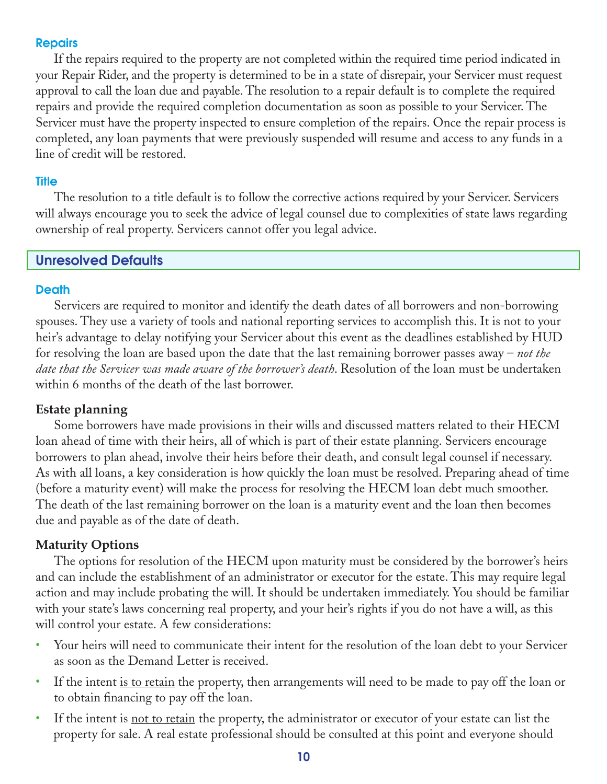## Repairs

If the repairs required to the property are not completed within the required time period indicated in your Repair Rider, and the property is determined to be in a state of disrepair, your Servicer must request approval to call the loan due and payable. The resolution to a repair default is to complete the required repairs and provide the required completion documentation as soon as possible to your Servicer. The Servicer must have the property inspected to ensure completion of the repairs. Once the repair process is completed, any loan payments that were previously suspended will resume and access to any funds in a line of credit will be restored.

#### **Title**

The resolution to a title default is to follow the corrective actions required by your Servicer. Servicers will always encourage you to seek the advice of legal counsel due to complexities of state laws regarding ownership of real property. Servicers cannot offer you legal advice.

## Unresolved Defaults

### **Death**

Servicers are required to monitor and identify the death dates of all borrowers and non-borrowing spouses. They use a variety of tools and national reporting services to accomplish this. It is not to your heir's advantage to delay notifying your Servicer about this event as the deadlines established by HUD for resolving the loan are based upon the date that the last remaining borrower passes away – *not the date that the Servicer was made aware of the borrower's death*. Resolution of the loan must be undertaken within 6 months of the death of the last borrower.

# **Estate planning**

Some borrowers have made provisions in their wills and discussed matters related to their HECM loan ahead of time with their heirs, all of which is part of their estate planning. Servicers encourage borrowers to plan ahead, involve their heirs before their death, and consult legal counsel if necessary. As with all loans, a key consideration is how quickly the loan must be resolved. Preparing ahead of time (before a maturity event) will make the process for resolving the HECM loan debt much smoother. The death of the last remaining borrower on the loan is a maturity event and the loan then becomes due and payable as of the date of death.

# **Maturity Options**

The options for resolution of the HECM upon maturity must be considered by the borrower's heirs and can include the establishment of an administrator or executor for the estate. This may require legal action and may include probating the will. It should be undertaken immediately. You should be familiar with your state's laws concerning real property, and your heir's rights if you do not have a will, as this will control your estate. A few considerations:

- Your heirs will need to communicate their intent for the resolution of the loan debt to your Servicer as soon as the Demand Letter is received.
- If the intent is to retain the property, then arrangements will need to be made to pay off the loan or to obtain financing to pay off the loan.
- If the intent is <u>not to retain</u> the property, the administrator or executor of your estate can list the property for sale. A real estate professional should be consulted at this point and everyone should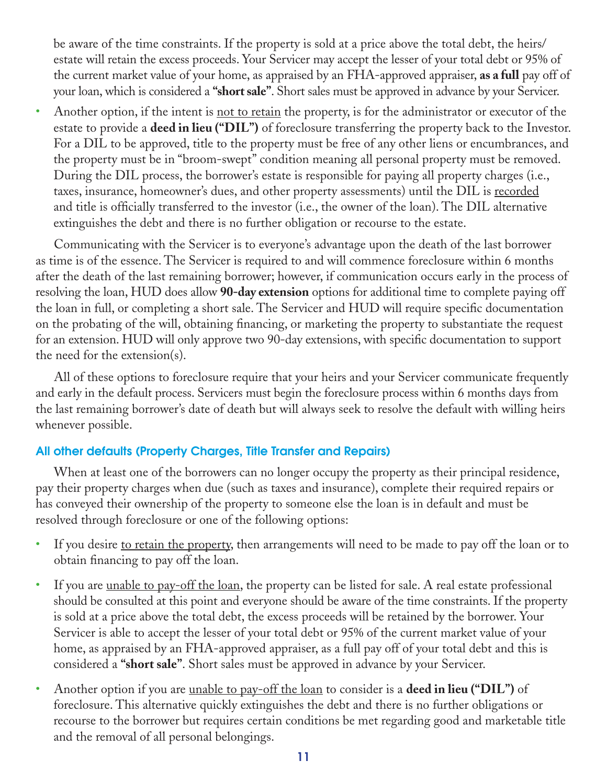be aware of the time constraints. If the property is sold at a price above the total debt, the heirs/ estate will retain the excess proceeds. Your Servicer may accept the lesser of your total debt or 95% of the current market value of your home, as appraised by an FHA-approved appraiser, **as a full** pay off of your loan, which is considered a **"short sale"**. Short sales must be approved in advance by your Servicer.

Another option, if the intent is <u>not to retain</u> the property, is for the administrator or executor of the estate to provide a **deed in lieu ("DIL")** of foreclosure transferring the property back to the Investor. For a DIL to be approved, title to the property must be free of any other liens or encumbrances, and the property must be in "broom-swept" condition meaning all personal property must be removed. During the DIL process, the borrower's estate is responsible for paying all property charges (i.e., taxes, insurance, homeowner's dues, and other property assessments) until the DIL is recorded and title is officially transferred to the investor (i.e., the owner of the loan). The DIL alternative extinguishes the debt and there is no further obligation or recourse to the estate.

Communicating with the Servicer is to everyone's advantage upon the death of the last borrower as time is of the essence. The Servicer is required to and will commence foreclosure within 6 months after the death of the last remaining borrower; however, if communication occurs early in the process of resolving the loan, HUD does allow **90-day extension** options for additional time to complete paying off the loan in full, or completing a short sale. The Servicer and HUD will require specific documentation on the probating of the will, obtaining financing, or marketing the property to substantiate the request for an extension. HUD will only approve two 90-day extensions, with specific documentation to support the need for the extension(s).

All of these options to foreclosure require that your heirs and your Servicer communicate frequently and early in the default process. Servicers must begin the foreclosure process within 6 months days from the last remaining borrower's date of death but will always seek to resolve the default with willing heirs whenever possible.

# All other defaults (Property Charges, Title Transfer and Repairs)

When at least one of the borrowers can no longer occupy the property as their principal residence, pay their property charges when due (such as taxes and insurance), complete their required repairs or has conveyed their ownership of the property to someone else the loan is in default and must be resolved through foreclosure or one of the following options:

- If you desire to retain the property, then arrangements will need to be made to pay off the loan or to obtain financing to pay off the loan.
- If you are <u>unable to pay-off the loan</u>, the property can be listed for sale. A real estate professional should be consulted at this point and everyone should be aware of the time constraints. If the property is sold at a price above the total debt, the excess proceeds will be retained by the borrower. Your Servicer is able to accept the lesser of your total debt or 95% of the current market value of your home, as appraised by an FHA-approved appraiser, as a full pay off of your total debt and this is considered a **"short sale"**. Short sales must be approved in advance by your Servicer.
- Another option if you are unable to pay-off the loan to consider is a **deed in lieu ("DIL")** of foreclosure. This alternative quickly extinguishes the debt and there is no further obligations or recourse to the borrower but requires certain conditions be met regarding good and marketable title and the removal of all personal belongings.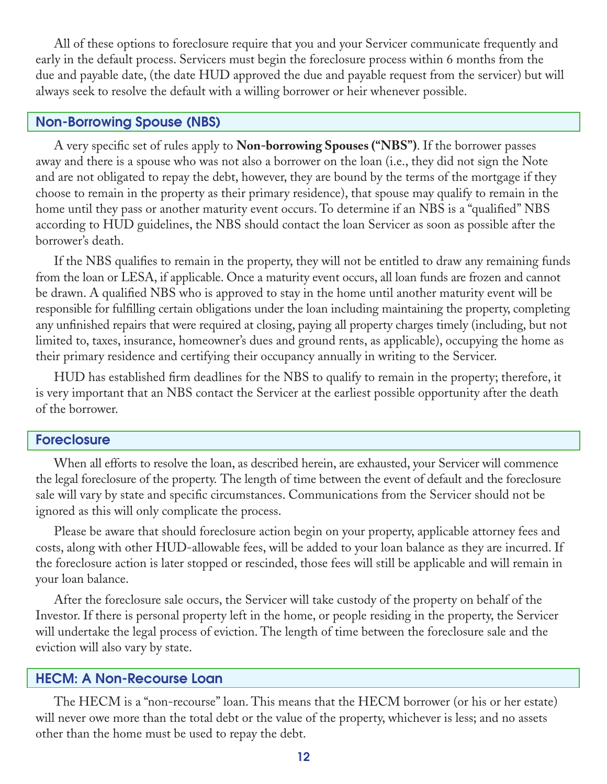All of these options to foreclosure require that you and your Servicer communicate frequently and early in the default process. Servicers must begin the foreclosure process within 6 months from the due and payable date, (the date HUD approved the due and payable request from the servicer) but will always seek to resolve the default with a willing borrower or heir whenever possible.

## Non-Borrowing Spouse (NBS)

A very specific set of rules apply to **Non-borrowing Spouses ("NBS")**. If the borrower passes away and there is a spouse who was not also a borrower on the loan (i.e., they did not sign the Note and are not obligated to repay the debt, however, they are bound by the terms of the mortgage if they choose to remain in the property as their primary residence), that spouse may qualify to remain in the home until they pass or another maturity event occurs. To determine if an NBS is a "qualified" NBS according to HUD guidelines, the NBS should contact the loan Servicer as soon as possible after the borrower's death.

If the NBS qualifies to remain in the property, they will not be entitled to draw any remaining funds from the loan or LESA, if applicable. Once a maturity event occurs, all loan funds are frozen and cannot be drawn. A qualified NBS who is approved to stay in the home until another maturity event will be responsible for fulfilling certain obligations under the loan including maintaining the property, completing any unfinished repairs that were required at closing, paying all property charges timely (including, but not limited to, taxes, insurance, homeowner's dues and ground rents, as applicable), occupying the home as their primary residence and certifying their occupancy annually in writing to the Servicer.

HUD has established firm deadlines for the NBS to qualify to remain in the property; therefore, it is very important that an NBS contact the Servicer at the earliest possible opportunity after the death of the borrower.

#### Foreclosure

When all efforts to resolve the loan, as described herein, are exhausted, your Servicer will commence the legal foreclosure of the property. The length of time between the event of default and the foreclosure sale will vary by state and specific circumstances. Communications from the Servicer should not be ignored as this will only complicate the process.

Please be aware that should foreclosure action begin on your property, applicable attorney fees and costs, along with other HUD-allowable fees, will be added to your loan balance as they are incurred. If the foreclosure action is later stopped or rescinded, those fees will still be applicable and will remain in your loan balance.

After the foreclosure sale occurs, the Servicer will take custody of the property on behalf of the Investor. If there is personal property left in the home, or people residing in the property, the Servicer will undertake the legal process of eviction. The length of time between the foreclosure sale and the eviction will also vary by state.

#### HECM: A Non-Recourse Loan

The HECM is a "non-recourse" loan. This means that the HECM borrower (or his or her estate) will never owe more than the total debt or the value of the property, whichever is less; and no assets other than the home must be used to repay the debt.